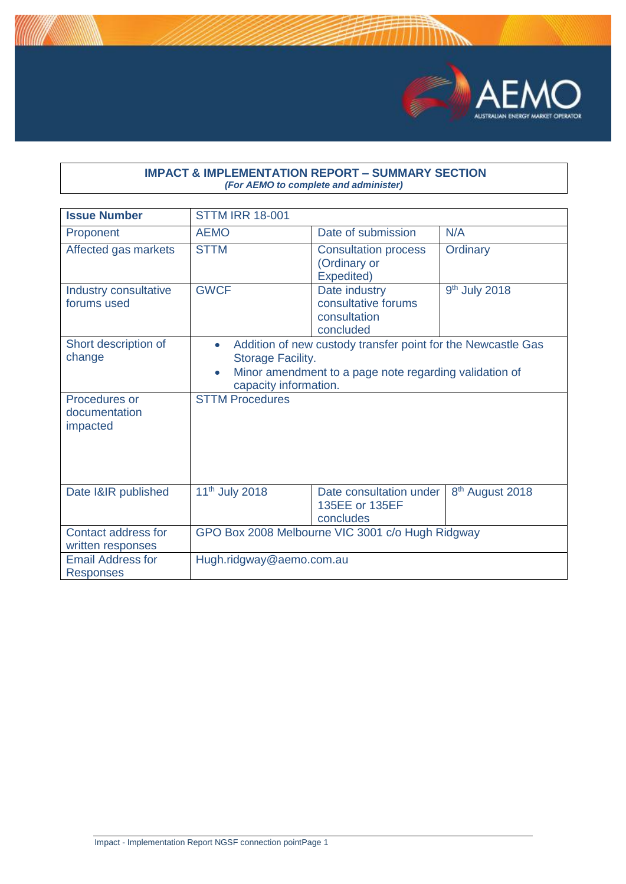

## **IMPACT & IMPLEMENTATION REPORT – SUMMARY SECTION** *(For AEMO to complete and administer)*

| <b>Issue Number</b>                          | <b>STTM IRR 18-001</b>                                                                                                                                                                         |                                                                   |                             |
|----------------------------------------------|------------------------------------------------------------------------------------------------------------------------------------------------------------------------------------------------|-------------------------------------------------------------------|-----------------------------|
| Proponent                                    | <b>AEMO</b>                                                                                                                                                                                    | Date of submission                                                | N/A                         |
| Affected gas markets                         | <b>STTM</b>                                                                                                                                                                                    | <b>Consultation process</b><br>(Ordinary or<br>Expedited)         | Ordinary                    |
| Industry consultative<br>forums used         | <b>GWCF</b>                                                                                                                                                                                    | Date industry<br>consultative forums<br>consultation<br>concluded | 9 <sup>th</sup> July 2018   |
| Short description of<br>change               | Addition of new custody transfer point for the Newcastle Gas<br>$\bullet$<br>Storage Facility.<br>Minor amendment to a page note regarding validation of<br>$\bullet$<br>capacity information. |                                                                   |                             |
| Procedures or<br>documentation<br>impacted   | <b>STTM Procedures</b>                                                                                                                                                                         |                                                                   |                             |
| Date I&IR published                          | 11 <sup>th</sup> July 2018                                                                                                                                                                     | Date consultation under<br>135EE or 135EF<br>concludes            | 8 <sup>th</sup> August 2018 |
| Contact address for<br>written responses     | GPO Box 2008 Melbourne VIC 3001 c/o Hugh Ridgway                                                                                                                                               |                                                                   |                             |
| <b>Email Address for</b><br><b>Responses</b> | Hugh.ridgway@aemo.com.au                                                                                                                                                                       |                                                                   |                             |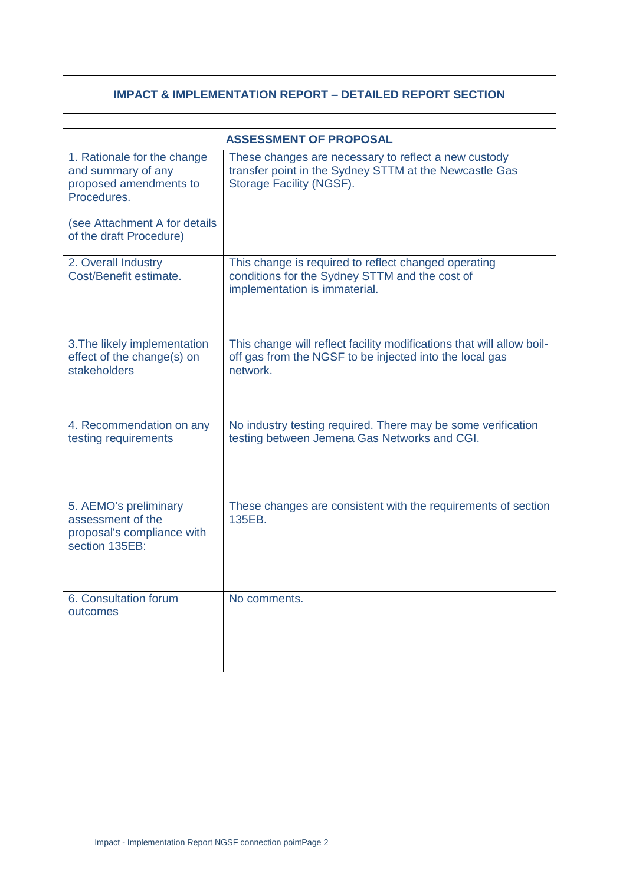## **IMPACT & IMPLEMENTATION REPORT – DETAILED REPORT SECTION**

| <b>ASSESSMENT OF PROPOSAL</b>                                                              |                                                                                                                                              |  |
|--------------------------------------------------------------------------------------------|----------------------------------------------------------------------------------------------------------------------------------------------|--|
| 1. Rationale for the change<br>and summary of any<br>proposed amendments to<br>Procedures. | These changes are necessary to reflect a new custody<br>transfer point in the Sydney STTM at the Newcastle Gas<br>Storage Facility (NGSF).   |  |
| (see Attachment A for details<br>of the draft Procedure)                                   |                                                                                                                                              |  |
| 2. Overall Industry<br>Cost/Benefit estimate.                                              | This change is required to reflect changed operating<br>conditions for the Sydney STTM and the cost of<br>implementation is immaterial.      |  |
| 3. The likely implementation<br>effect of the change(s) on<br>stakeholders                 | This change will reflect facility modifications that will allow boil-<br>off gas from the NGSF to be injected into the local gas<br>network. |  |
| 4. Recommendation on any<br>testing requirements                                           | No industry testing required. There may be some verification<br>testing between Jemena Gas Networks and CGI.                                 |  |
| 5. AEMO's preliminary<br>assessment of the<br>proposal's compliance with<br>section 135EB: | These changes are consistent with the requirements of section<br>135EB.                                                                      |  |
| 6. Consultation forum<br>outcomes                                                          | No comments.                                                                                                                                 |  |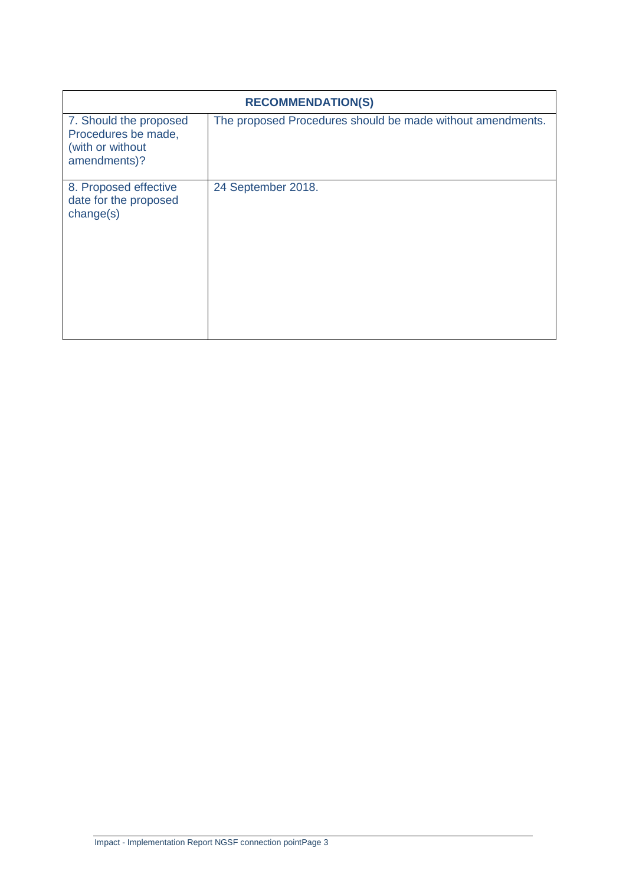| <b>RECOMMENDATION(S)</b>                                                          |                                                            |  |
|-----------------------------------------------------------------------------------|------------------------------------------------------------|--|
| 7. Should the proposed<br>Procedures be made,<br>(with or without<br>amendments)? | The proposed Procedures should be made without amendments. |  |
| 8. Proposed effective<br>date for the proposed<br>change(s)                       | 24 September 2018.                                         |  |